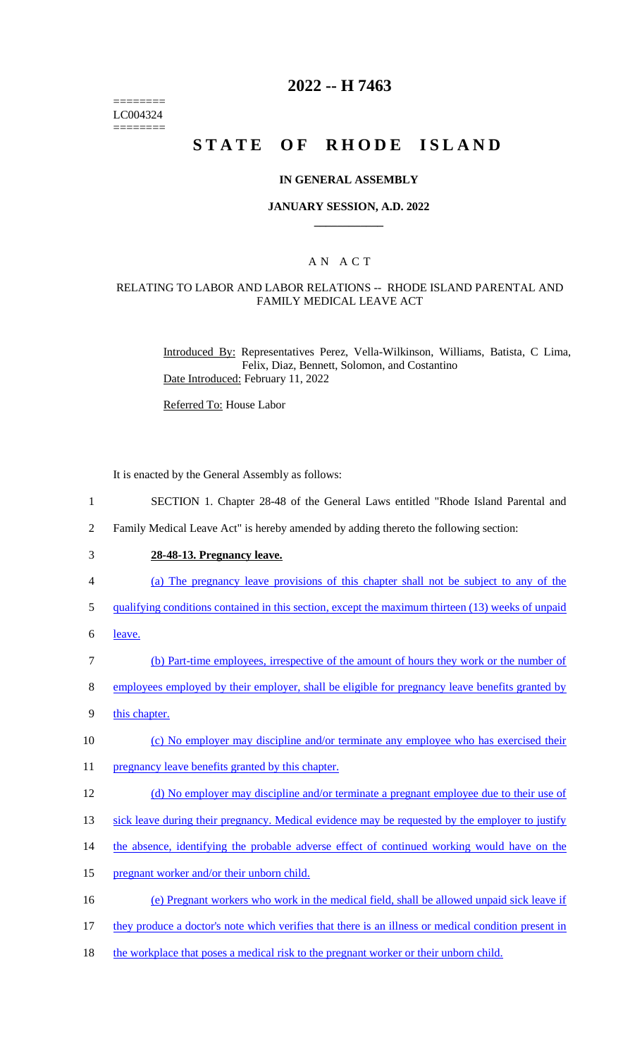======== LC004324 ========

# **2022 -- H 7463**

# **STATE OF RHODE ISLAND**

### **IN GENERAL ASSEMBLY**

### **JANUARY SESSION, A.D. 2022 \_\_\_\_\_\_\_\_\_\_\_\_**

### A N A C T

### RELATING TO LABOR AND LABOR RELATIONS -- RHODE ISLAND PARENTAL AND FAMILY MEDICAL LEAVE ACT

Introduced By: Representatives Perez, Vella-Wilkinson, Williams, Batista, C Lima, Felix, Diaz, Bennett, Solomon, and Costantino Date Introduced: February 11, 2022

Referred To: House Labor

It is enacted by the General Assembly as follows:

- 1 SECTION 1. Chapter 28-48 of the General Laws entitled "Rhode Island Parental and
- 2 Family Medical Leave Act" is hereby amended by adding thereto the following section:
- 3 **28-48-13. Pregnancy leave.**
- 4 (a) The pregnancy leave provisions of this chapter shall not be subject to any of the
- 5 qualifying conditions contained in this section, except the maximum thirteen (13) weeks of unpaid
- 6 leave.
- 7 (b) Part-time employees, irrespective of the amount of hours they work or the number of
- 8 employees employed by their employer, shall be eligible for pregnancy leave benefits granted by
- 9 this chapter.
- 10 (c) No employer may discipline and/or terminate any employee who has exercised their
- 11 pregnancy leave benefits granted by this chapter.
- 12 (d) No employer may discipline and/or terminate a pregnant employee due to their use of
- 13 sick leave during their pregnancy. Medical evidence may be requested by the employer to justify
- 14 the absence, identifying the probable adverse effect of continued working would have on the
- 15 pregnant worker and/or their unborn child.
- 16 (e) Pregnant workers who work in the medical field, shall be allowed unpaid sick leave if
- 17 they produce a doctor's note which verifies that there is an illness or medical condition present in
- 18 the workplace that poses a medical risk to the pregnant worker or their unborn child.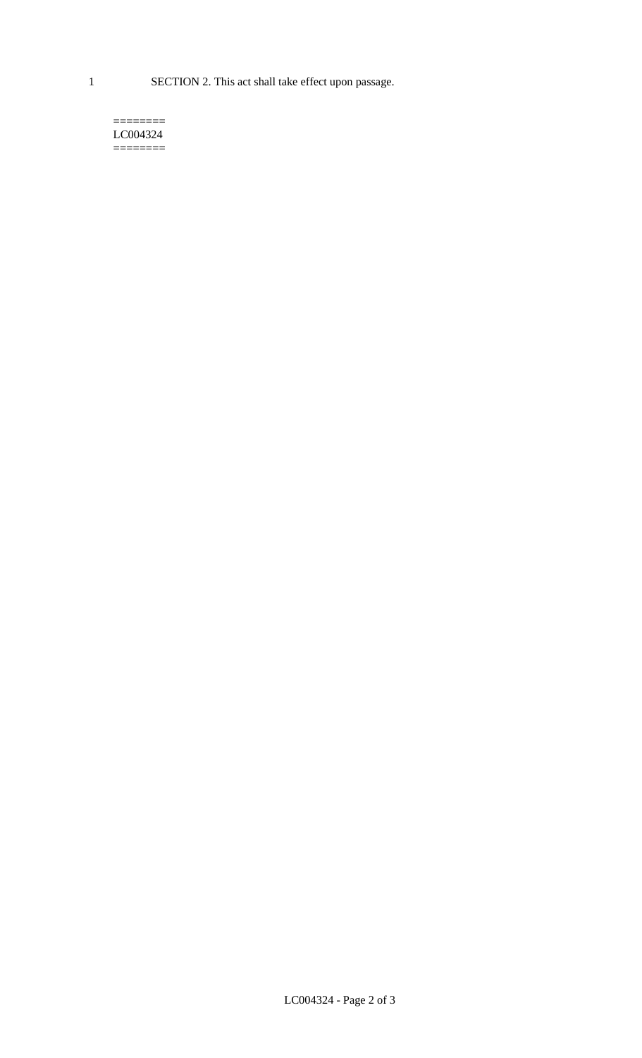1 SECTION 2. This act shall take effect upon passage.

#### $=$ LC004324  $=$

LC004324 - Page 2 of 3